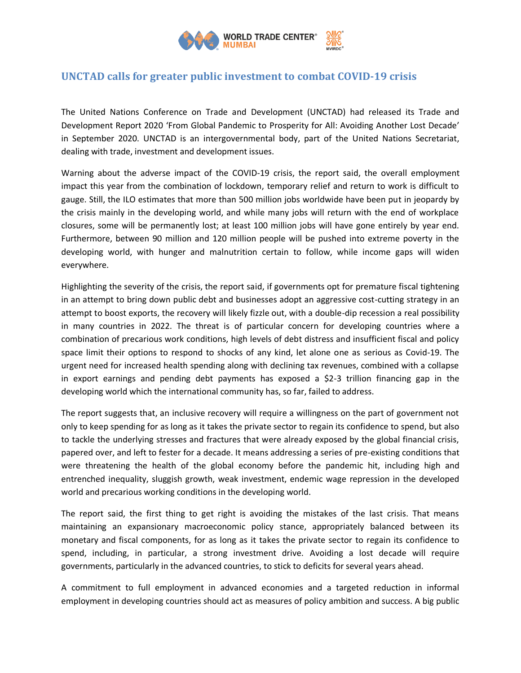

## **UNCTAD calls for greater public investment to combat COVID-19 crisis**

The United Nations Conference on Trade and Development (UNCTAD) had released its Trade and Development Report 2020 'From Global Pandemic to Prosperity for All: Avoiding Another Lost Decade' in September 2020. UNCTAD is an intergovernmental body, part of the United Nations Secretariat, dealing with trade, investment and development issues.

Warning about the adverse impact of the COVID-19 crisis, the report said, the overall employment impact this year from the combination of lockdown, temporary relief and return to work is difficult to gauge. Still, the ILO estimates that more than 500 million jobs worldwide have been put in jeopardy by the crisis mainly in the developing world, and while many jobs will return with the end of workplace closures, some will be permanently lost; at least 100 million jobs will have gone entirely by year end. Furthermore, between 90 million and 120 million people will be pushed into extreme poverty in the developing world, with hunger and malnutrition certain to follow, while income gaps will widen everywhere.

Highlighting the severity of the crisis, the report said, if governments opt for premature fiscal tightening in an attempt to bring down public debt and businesses adopt an aggressive cost-cutting strategy in an attempt to boost exports, the recovery will likely fizzle out, with a double-dip recession a real possibility in many countries in 2022. The threat is of particular concern for developing countries where a combination of precarious work conditions, high levels of debt distress and insufficient fiscal and policy space limit their options to respond to shocks of any kind, let alone one as serious as Covid-19. The urgent need for increased health spending along with declining tax revenues, combined with a collapse in export earnings and pending debt payments has exposed a \$2-3 trillion financing gap in the developing world which the international community has, so far, failed to address.

The report suggests that, an inclusive recovery will require a willingness on the part of government not only to keep spending for as long as it takes the private sector to regain its confidence to spend, but also to tackle the underlying stresses and fractures that were already exposed by the global financial crisis, papered over, and left to fester for a decade. It means addressing a series of pre-existing conditions that were threatening the health of the global economy before the pandemic hit, including high and entrenched inequality, sluggish growth, weak investment, endemic wage repression in the developed world and precarious working conditions in the developing world.

The report said, the first thing to get right is avoiding the mistakes of the last crisis. That means maintaining an expansionary macroeconomic policy stance, appropriately balanced between its monetary and fiscal components, for as long as it takes the private sector to regain its confidence to spend, including, in particular, a strong investment drive. Avoiding a lost decade will require governments, particularly in the advanced countries, to stick to deficits for several years ahead.

A commitment to full employment in advanced economies and a targeted reduction in informal employment in developing countries should act as measures of policy ambition and success. A big public